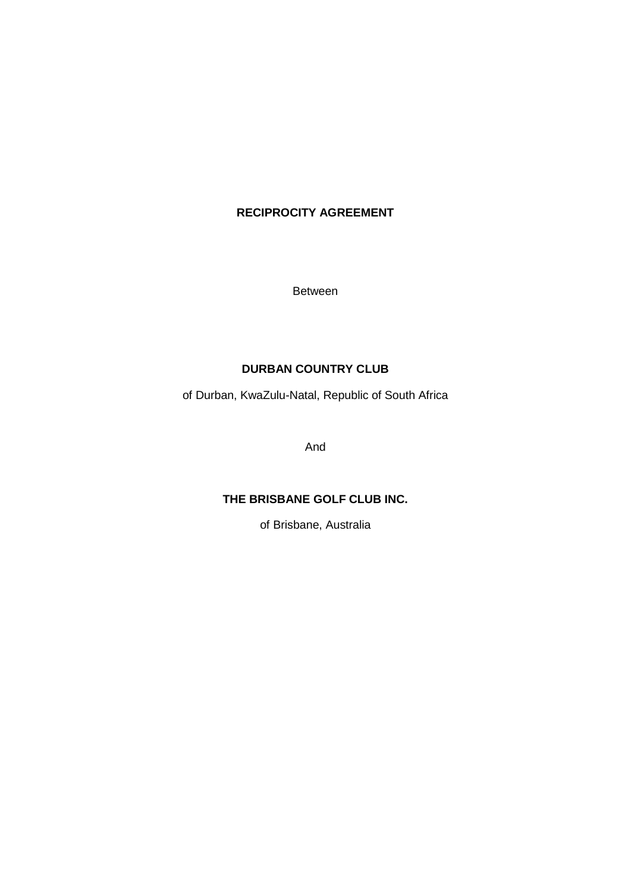## **RECIPROCITY AGREEMENT**

Between

## **DURBAN COUNTRY CLUB**

of Durban, KwaZulu-Natal, Republic of South Africa

And

## **THE BRISBANE GOLF CLUB INC.**

of Brisbane, Australia